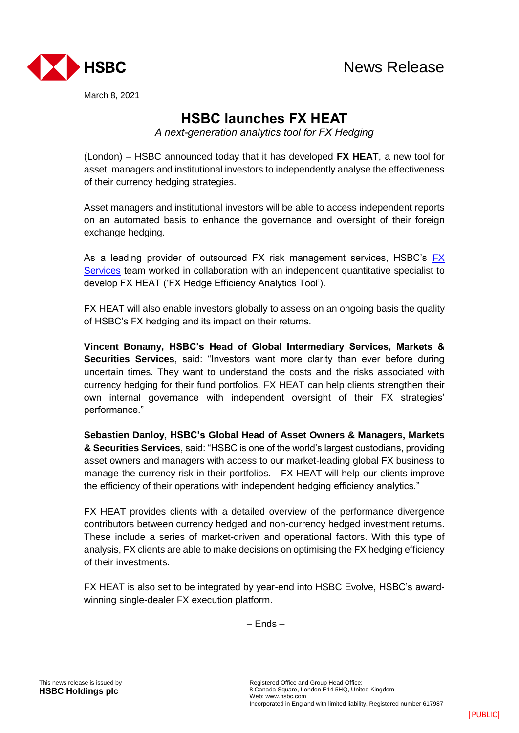

March 8, 2021

## **HSBC launches FX HEAT**

*A next-generation analytics tool for FX Hedging*

(London) – HSBC announced today that it has developed **FX HEAT**, a new tool for asset managers and institutional investors to independently analyse the effectiveness of their currency hedging strategies.

Asset managers and institutional investors will be able to access independent reports on an automated basis to enhance the governance and oversight of their foreign exchange hedging.

As a leading provider of outsourced FX risk management services, HSBC's [FX](https://www.gbm.hsbc.com/solutions/markets/fx-gis/our-services)  [Services](https://www.gbm.hsbc.com/solutions/markets/fx-gis/our-services) team worked in collaboration with an independent quantitative specialist to develop FX HEAT ('FX Hedge Efficiency Analytics Tool').

FX HEAT will also enable investors globally to assess on an ongoing basis the quality of HSBC's FX hedging and its impact on their returns.

**Vincent Bonamy, HSBC's Head of Global Intermediary Services, Markets & Securities Services**, said: "Investors want more clarity than ever before during uncertain times. They want to understand the costs and the risks associated with currency hedging for their fund portfolios. FX HEAT can help clients strengthen their own internal governance with independent oversight of their FX strategies' performance."

**Sebastien Danloy, HSBC's Global Head of Asset Owners & Managers, Markets & Securities Services**, said: "HSBC is one of the world's largest custodians, providing asset owners and managers with access to our market-leading global FX business to manage the currency risk in their portfolios. FX HEAT will help our clients improve the efficiency of their operations with independent hedging efficiency analytics."

FX HEAT provides clients with a detailed overview of the performance divergence contributors between currency hedged and non-currency hedged investment returns. These include a series of market-driven and operational factors. With this type of analysis, FX clients are able to make decisions on optimising the FX hedging efficiency of their investments.

FX HEAT is also set to be integrated by year-end into HSBC Evolve, HSBC's awardwinning single-dealer FX execution platform.

– Ends –